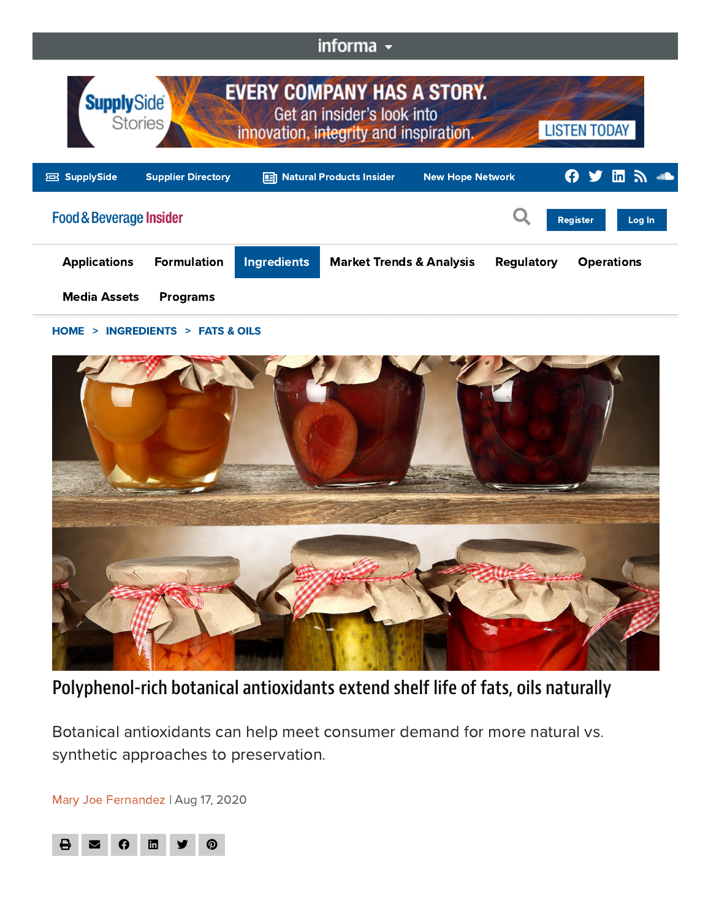## informa -



## [HOME](https://www.foodbeverageinsider.com/) > [INGREDIENTS](https://www.foodbeverageinsider.com/ingredients) > [FATS](https://www.foodbeverageinsider.com/ingredients/fats-oils) & OILS



Polyphenol-rich botanical antioxidants extend shelf life of fats, oils naturally

Botanical antioxidants can help meet consumer demand for more natural vs. synthetic approaches to preservation.

Mary Joe [Fernandez](https://www.foodbeverageinsider.com/author/Mary-Fernandez) | Aug 17, 2020

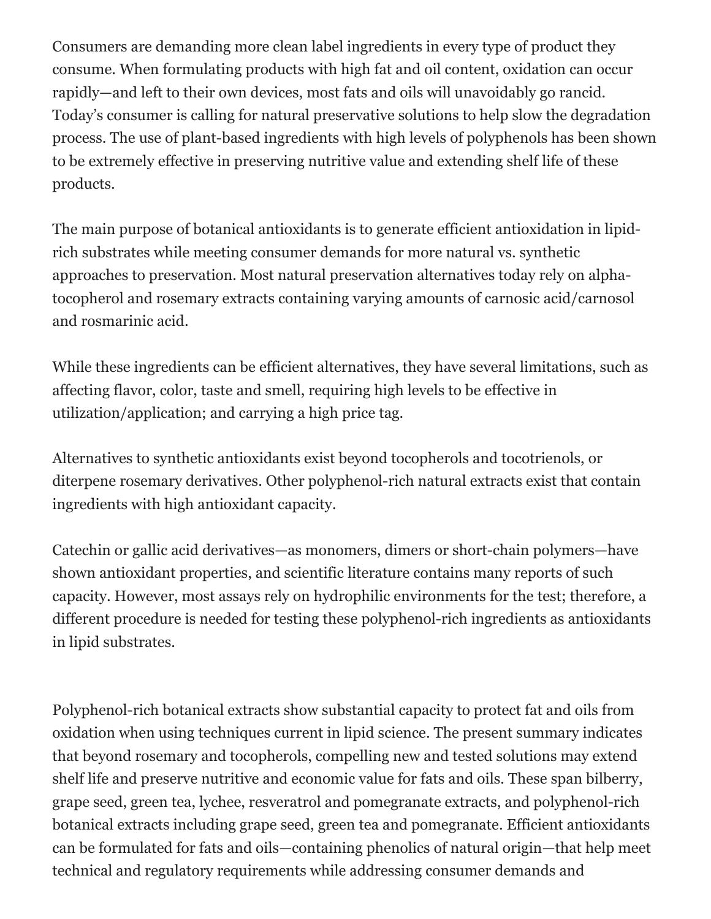Consumers are demanding more clean label ingredients in every type of product they consume. When formulating products with high fat and oil content, oxidation can occur rapidly—and left to their own devices, most fats and oils will unavoidably go rancid. Today's consumer is calling for natural preservative solutions to help slow the degradation process. The use of plant-based ingredients with high levels of polyphenols has been shown to be extremely effective in preserving nutritive value and extending shelf life of these products.

The main purpose of botanical antioxidants is to generate efficient antioxidation in lipidrich substrates while meeting consumer demands for more natural vs. synthetic approaches to preservation. Most natural preservation alternatives today rely on alphatocopherol and rosemary extracts containing varying amounts of carnosic acid/carnosol and rosmarinic acid.

While these ingredients can be efficient alternatives, they have several limitations, such as affecting flavor, color, taste and smell, requiring high levels to be effective in utilization/application; and carrying a high price tag.

Alternatives to synthetic antioxidants exist beyond tocopherols and tocotrienols, or diterpene rosemary derivatives. Other polyphenol-rich natural extracts exist that contain ingredients with high antioxidant capacity.

Catechin or gallic acid derivatives—as monomers, dimers or short-chain polymers—have shown antioxidant properties, and scientific literature contains many reports of such capacity. However, most assays rely on hydrophilic environments for the test; therefore, a different procedure is needed for testing these polyphenol-rich ingredients as antioxidants in lipid substrates.

Polyphenol-rich botanical extracts show substantial capacity to protect fat and oils from oxidation when using techniques current in lipid science. The present summary indicates that beyond rosemary and tocopherols, compelling new and tested solutions may extend shelf life and preserve nutritive and economic value for fats and oils. These span bilberry, grape seed, green tea, lychee, resveratrol and pomegranate extracts, and polyphenol-rich botanical extracts including grape seed, green tea and pomegranate. Efficient antioxidants can be formulated for fats and oils—containing phenolics of natural origin—that help meet technical and regulatory requirements while addressing consumer demands and